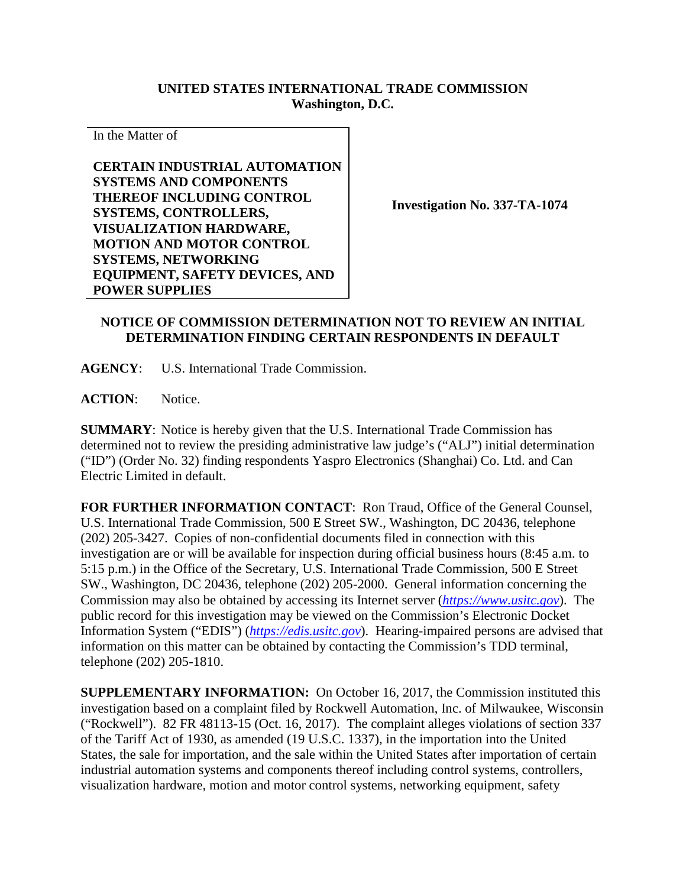## **UNITED STATES INTERNATIONAL TRADE COMMISSION Washington, D.C.**

In the Matter of

**CERTAIN INDUSTRIAL AUTOMATION SYSTEMS AND COMPONENTS THEREOF INCLUDING CONTROL SYSTEMS, CONTROLLERS, VISUALIZATION HARDWARE, MOTION AND MOTOR CONTROL SYSTEMS, NETWORKING EQUIPMENT, SAFETY DEVICES, AND POWER SUPPLIES**

**Investigation No. 337-TA-1074**

## **NOTICE OF COMMISSION DETERMINATION NOT TO REVIEW AN INITIAL DETERMINATION FINDING CERTAIN RESPONDENTS IN DEFAULT**

**AGENCY**: U.S. International Trade Commission.

**ACTION**: Notice.

**SUMMARY**: Notice is hereby given that the U.S. International Trade Commission has determined not to review the presiding administrative law judge's ("ALJ") initial determination ("ID") (Order No. 32) finding respondents Yaspro Electronics (Shanghai) Co. Ltd. and Can Electric Limited in default.

**FOR FURTHER INFORMATION CONTACT**: Ron Traud, Office of the General Counsel, U.S. International Trade Commission, 500 E Street SW., Washington, DC 20436, telephone (202) 205-3427. Copies of non-confidential documents filed in connection with this investigation are or will be available for inspection during official business hours (8:45 a.m. to 5:15 p.m.) in the Office of the Secretary, U.S. International Trade Commission, 500 E Street SW., Washington, DC 20436, telephone (202) 205-2000. General information concerning the Commission may also be obtained by accessing its Internet server (*[https://www.usitc.gov](https://www.usitc.gov/)*). The public record for this investigation may be viewed on the Commission's Electronic Docket Information System ("EDIS") (*[https://edis.usitc.gov](https://edis.usitc.gov/)*). Hearing-impaired persons are advised that information on this matter can be obtained by contacting the Commission's TDD terminal, telephone (202) 205-1810.

**SUPPLEMENTARY INFORMATION:** On October 16, 2017, the Commission instituted this investigation based on a complaint filed by Rockwell Automation, Inc. of Milwaukee, Wisconsin ("Rockwell"). 82 FR 48113-15 (Oct. 16, 2017). The complaint alleges violations of section 337 of the Tariff Act of 1930, as amended (19 U.S.C. 1337), in the importation into the United States, the sale for importation, and the sale within the United States after importation of certain industrial automation systems and components thereof including control systems, controllers, visualization hardware, motion and motor control systems, networking equipment, safety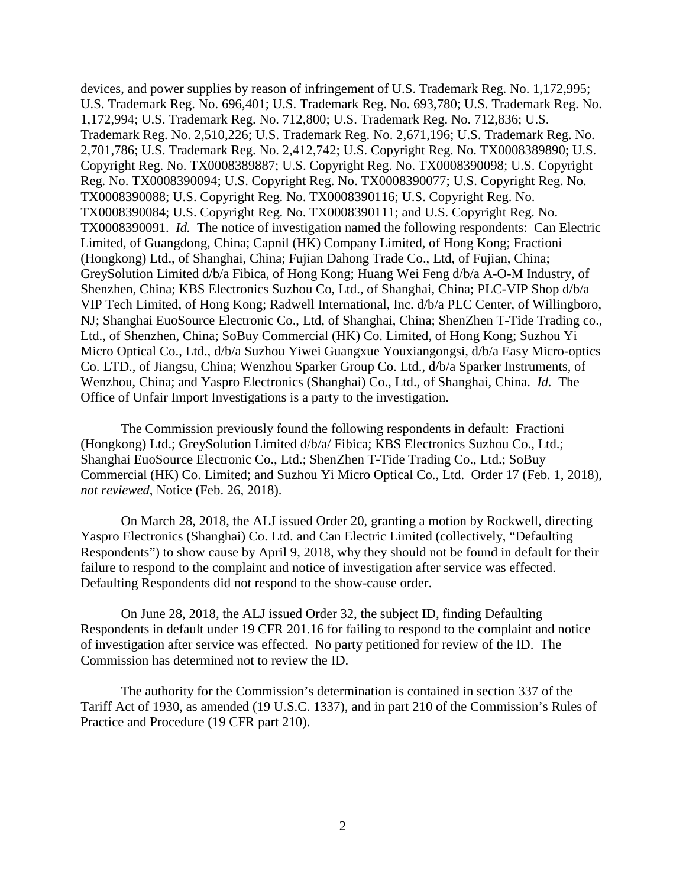devices, and power supplies by reason of infringement of U.S. Trademark Reg. No. 1,172,995; U.S. Trademark Reg. No. 696,401; U.S. Trademark Reg. No. 693,780; U.S. Trademark Reg. No. 1,172,994; U.S. Trademark Reg. No. 712,800; U.S. Trademark Reg. No. 712,836; U.S. Trademark Reg. No. 2,510,226; U.S. Trademark Reg. No. 2,671,196; U.S. Trademark Reg. No. 2,701,786; U.S. Trademark Reg. No. 2,412,742; U.S. Copyright Reg. No. TX0008389890; U.S. Copyright Reg. No. TX0008389887; U.S. Copyright Reg. No. TX0008390098; U.S. Copyright Reg. No. TX0008390094; U.S. Copyright Reg. No. TX0008390077; U.S. Copyright Reg. No. TX0008390088; U.S. Copyright Reg. No. TX0008390116; U.S. Copyright Reg. No. TX0008390084; U.S. Copyright Reg. No. TX0008390111; and U.S. Copyright Reg. No. TX0008390091. *Id.* The notice of investigation named the following respondents: Can Electric Limited, of Guangdong, China; Capnil (HK) Company Limited, of Hong Kong; Fractioni (Hongkong) Ltd., of Shanghai, China; Fujian Dahong Trade Co., Ltd, of Fujian, China; GreySolution Limited d/b/a Fibica, of Hong Kong; Huang Wei Feng d/b/a A-O-M Industry, of Shenzhen, China; KBS Electronics Suzhou Co, Ltd., of Shanghai, China; PLC-VIP Shop d/b/a VIP Tech Limited, of Hong Kong; Radwell International, Inc. d/b/a PLC Center, of Willingboro, NJ; Shanghai EuoSource Electronic Co., Ltd, of Shanghai, China; ShenZhen T-Tide Trading co., Ltd., of Shenzhen, China; SoBuy Commercial (HK) Co. Limited, of Hong Kong; Suzhou Yi Micro Optical Co., Ltd., d/b/a Suzhou Yiwei Guangxue Youxiangongsi, d/b/a Easy Micro-optics Co. LTD., of Jiangsu, China; Wenzhou Sparker Group Co. Ltd., d/b/a Sparker Instruments, of Wenzhou, China; and Yaspro Electronics (Shanghai) Co., Ltd., of Shanghai, China. *Id.* The Office of Unfair Import Investigations is a party to the investigation.

The Commission previously found the following respondents in default: Fractioni (Hongkong) Ltd.; GreySolution Limited d/b/a/ Fibica; KBS Electronics Suzhou Co., Ltd.; Shanghai EuoSource Electronic Co., Ltd.; ShenZhen T-Tide Trading Co., Ltd.; SoBuy Commercial (HK) Co. Limited; and Suzhou Yi Micro Optical Co., Ltd. Order 17 (Feb. 1, 2018), *not reviewed*, Notice (Feb. 26, 2018).

On March 28, 2018, the ALJ issued Order 20, granting a motion by Rockwell, directing Yaspro Electronics (Shanghai) Co. Ltd. and Can Electric Limited (collectively, "Defaulting Respondents") to show cause by April 9, 2018, why they should not be found in default for their failure to respond to the complaint and notice of investigation after service was effected. Defaulting Respondents did not respond to the show-cause order.

On June 28, 2018, the ALJ issued Order 32, the subject ID, finding Defaulting Respondents in default under 19 CFR 201.16 for failing to respond to the complaint and notice of investigation after service was effected. No party petitioned for review of the ID. The Commission has determined not to review the ID.

The authority for the Commission's determination is contained in section 337 of the Tariff Act of 1930, as amended (19 U.S.C. 1337), and in part 210 of the Commission's Rules of Practice and Procedure (19 CFR part 210).